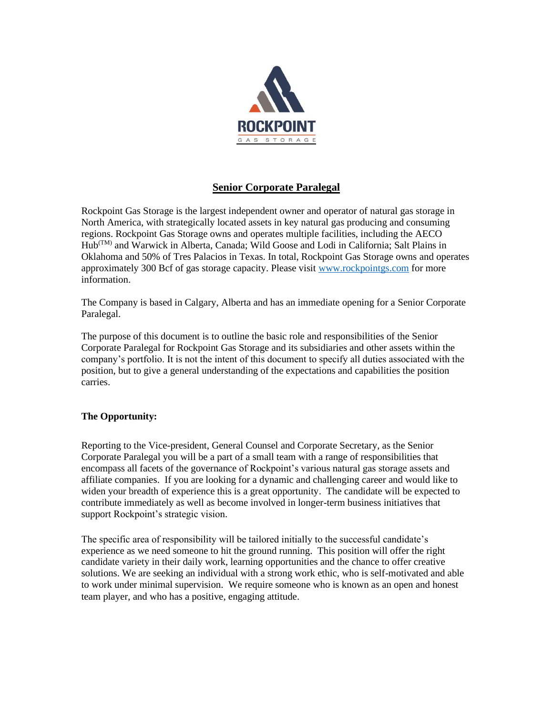

# **Senior Corporate Paralegal**

Rockpoint Gas Storage is the largest independent owner and operator of natural gas storage in North America, with strategically located assets in key natural gas producing and consuming regions. Rockpoint Gas Storage owns and operates multiple facilities, including the AECO Hub(TM) and Warwick in Alberta, Canada; Wild Goose and Lodi in California; Salt Plains in Oklahoma and 50% of Tres Palacios in Texas. In total, Rockpoint Gas Storage owns and operates approximately 300 Bcf of gas storage capacity. Please visit [www.rockpointgs.com](http://www.rockpointgs.com/) for more information.

The Company is based in Calgary, Alberta and has an immediate opening for a Senior Corporate Paralegal.

The purpose of this document is to outline the basic role and responsibilities of the Senior Corporate Paralegal for Rockpoint Gas Storage and its subsidiaries and other assets within the company's portfolio. It is not the intent of this document to specify all duties associated with the position, but to give a general understanding of the expectations and capabilities the position carries.

## **The Opportunity:**

Reporting to the Vice-president, General Counsel and Corporate Secretary, as the Senior Corporate Paralegal you will be a part of a small team with a range of responsibilities that encompass all facets of the governance of Rockpoint's various natural gas storage assets and affiliate companies. If you are looking for a dynamic and challenging career and would like to widen your breadth of experience this is a great opportunity. The candidate will be expected to contribute immediately as well as become involved in longer-term business initiatives that support Rockpoint's strategic vision.

The specific area of responsibility will be tailored initially to the successful candidate's experience as we need someone to hit the ground running. This position will offer the right candidate variety in their daily work, learning opportunities and the chance to offer creative solutions. We are seeking an individual with a strong work ethic, who is self-motivated and able to work under minimal supervision. We require someone who is known as an open and honest team player, and who has a positive, engaging attitude.